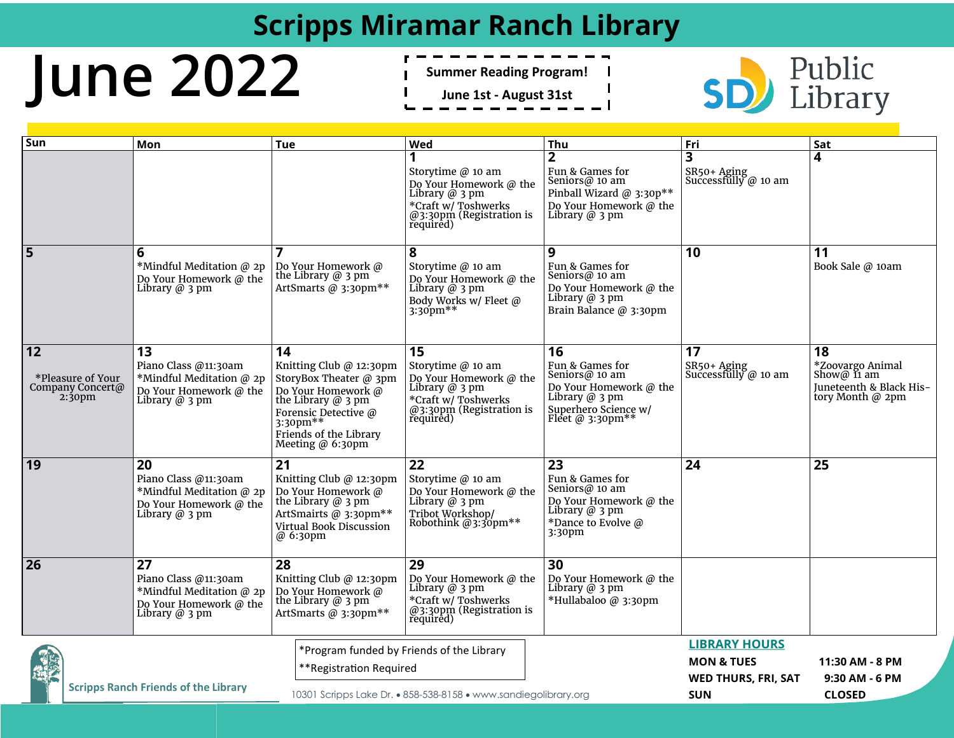### **Scripps Miramar Ranch Library**

# **June 2022**

- **Summer Reading Program!**
- **June 1st - August 31st**



| Sun                                         |                                                             | Mon                                                                                                               | <b>Tue</b>                                                                                                                                                                                  | Wed                                                                                                                                          | Thu                                                                                                                                          | Fri                                                                         | Sat                                                                                    |
|---------------------------------------------|-------------------------------------------------------------|-------------------------------------------------------------------------------------------------------------------|---------------------------------------------------------------------------------------------------------------------------------------------------------------------------------------------|----------------------------------------------------------------------------------------------------------------------------------------------|----------------------------------------------------------------------------------------------------------------------------------------------|-----------------------------------------------------------------------------|----------------------------------------------------------------------------------------|
|                                             |                                                             |                                                                                                                   |                                                                                                                                                                                             | Storytime @ 10 am<br>Do Your Homework @ the<br>Library $@$ 3 pm<br>*Craft w/ Toshwerks<br>$@3:30 \text{pm}$ (Registration is required)       | Fun & Games for<br>Seniors@ 10 am<br>Pinball Wizard @ 3:30p**<br>Do Your Homework @ the<br>Library $@$ 3 pm                                  | 3<br>SR50+ Aging<br>Successfully @ 10 am                                    | 4                                                                                      |
| 5                                           |                                                             | 6<br>*Mindful Meditation @ 2p<br>Do Your Homework @ the<br>Library @ 3 pm                                         | Do Your Homework @<br>the Library $@$ 3 pm<br>ArtSmarts @ 3:30pm**                                                                                                                          | 8<br>Storytime @ 10 am<br>Do Your Homework @ the<br>Library $@$ 3 pm<br>Body Works w/ Fleet @<br>$3:30^{6}$ pm**                             | 9<br>Fun & Games for<br>Seniors@ $10$ am<br>Do Your Homework @ the<br>Library $@3$ pm<br>Brain Balance @ 3:30pm                              | 10                                                                          | 11<br>Book Sale @ 10am                                                                 |
| 12                                          | *Pleasure of Your<br>Company Concert@<br>2:30 <sub>pm</sub> | 13<br>Piano Class @11:30am<br>*Mindful Meditation @ 2p<br>Do Your Homework @ the<br>Library $@$ 3 pm              | 14<br>Knitting Club $@$ 12:30pm<br>StoryBox Theater $@$ 3pm<br>Do Your Homework @<br>the Library $@$ 3 pm<br>Forensic Detective @<br>3:30pm**<br>Friends of the Library<br>Meeting @ 6:30pm | 15<br>Storytime @ 10 am<br>Do Your Homework @ the<br>Library $@$ 3 pm<br>*Craft w/ Toshwerks<br>$@3:30 \text{pm}$ (Registration is required) | 16<br>Fun & Games for<br>Seniors@ 10 am<br>Do Your Homework @ the<br>Library $@$ 3 pm<br>Superhero Science w/<br>Fleet @ $3:30 \text{pm}$ ** | 17<br>SR50+ Aging<br>Successfully $\omega$ 10 am                            | 18<br>*Zoovargo Animal<br>Show@ $11$ am<br>Juneteenth & Black His-<br>tory Month @ 2pm |
| 19                                          |                                                             | 20<br>Piano Class @11:30am<br>*Mindful Meditation @ 2p<br>Do Your Homework @ the<br>Library $@$ 3 pm              | 21<br>Knitting Club $@$ 12:30pm<br>Do Your Homework @<br>the Library $@$ 3 pm<br>ArtSmairts @ 3:30pm**<br>Virtual Book Discussion<br>@ 6:30pm                                               | 22<br>Storytime $@$ 10 am<br>Do Your Homework @ the<br>Library $\omega$ 3 pm<br>Tribot Workshop/<br>Robothink @3:30pm**                      | 23<br>Fun & Games for<br>Seniors@ 10 am<br>Do Your Homework @ the<br>Library $@$ 3 pm<br>*Dance to Evolve @<br>3:30pm                        | 24                                                                          | 25                                                                                     |
| 26                                          |                                                             | $\overline{27}$<br>Piano Class @11:30am<br>*Mindful Meditation @ 2p<br>Do Your Homework @ the<br>Library $@$ 3 pm | $\overline{28}$<br>Knitting Club $@$ 12:30pm<br>Do Your Homework @<br>the Library $@$ 3 pm<br>ArtSmarts @ 3:30pm**                                                                          | $\overline{29}$<br>Do Your Homework @ the<br>Library $@$ 3 pm<br>*Craft w/ Toshwerks<br>$@3:30$ pm (Registration is<br>required)             | $\overline{30}$<br>Do Your Homework @ the<br>Library $@3$ pm<br>*Hullabaloo @ 3:30pm                                                         |                                                                             |                                                                                        |
| <b>Scripps Ranch Friends of the Library</b> |                                                             |                                                                                                                   | *Program funded by Friends of the Library<br>**Registration Required<br>10301 Scripps Lake Dr. • 858-538-8158 • www.sandiegolibrary.org                                                     |                                                                                                                                              |                                                                                                                                              | <b>LIBRARY HOURS</b><br><b>MON &amp; TUES</b><br><b>WED THURS, FRI, SAT</b> | 11:30 AM - 8 PM<br>9:30 AM - 6 PM                                                      |
|                                             |                                                             |                                                                                                                   |                                                                                                                                                                                             |                                                                                                                                              |                                                                                                                                              | <b>SUN</b>                                                                  | <b>CLOSED</b>                                                                          |